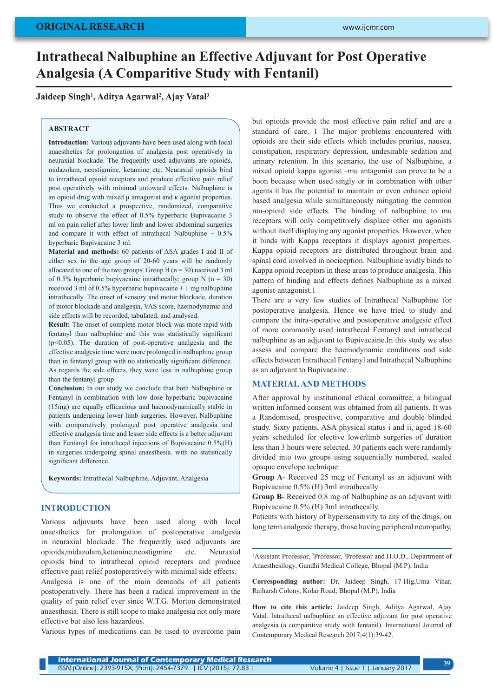# **Intrathecal Nalbuphine an Effective Adjuvant for Post Operative Analgesia (A Comparitive Study with Fentanil)**

**Jaideep Singh1 , Aditya Agarwal2 , Ajay Vatal3**

## **ABSTRACT**

**Introduction:** Various adjuvants have been used along with local anaesthetics for prolongation of analgesia post operatively in neuraxial blockade. The frequently used adjuvants are opioids, midazolam, neostigmine, ketamine etc. Neuraxial opioids bind to intrathecal opioid receptors and produce effective pain relief post operatively with minimal untoward effects. Nalbuphine is an opioid drug with mixed μ antagonist and κ agonist properties. Thus we conducted a prospective, randomized, comparative study to observe the effect of 0.5% hyperbaric Bupivacaine 3 ml on pain relief after lower limb and lower abdominal surgeries and compare it with effect of intrathecal Nalbuphine + 0.5% hyperbaric Bupivacaine 3 ml.

**Material and methods:** 60 patients of ASA grades I and II of either sex in the age group of 20-60 years will be randomly allocated to one of the two groups. Group B  $(n = 30)$  received 3 ml of 0.5% hyperbaric bupivacaine intrathecally; group N ( $n = 30$ ) received 3 ml of 0.5% hyperbaric bupivacaine + 1 mg nalbuphine intrathecally. The onset of sensory and motor blockade, duration of motor blockade and analgesia, VAS score, haemodynamic and side effects will be recorded, tabulated, and analysed.

**Result:** The onset of complete motor block was more rapid with fentanyl than nalbuphine and this was statistically significant  $(p<0.05)$ . The duration of post-operative analgesia and the effective analgesic time were more prolonged in nalbuphine group than in fentanyl group with no statistically significant difference. As regards the side effects, they were less in nalbuphine group than the fentanyl group

**Conclusion:** In our study we conclude that both Nalbuphine or Fentanyl in combination with low dose hyperbaric bupivacaine (15mg) are equally efficacious and haemodynamically stable in patients undergoing lower limb surgeries. However, Nalbuphine with comparatively prolonged post operative analgesia and effective analgesia time and lesser side effects is a better adjuvant than Fentanyl for intrathecal injections of Bupivacaine 0.5%(H) in surgeries undergoing spinal anaesthesia. with no statistically significant difference.

**Keywords:** Intrathecal Nalbuphine, Adjuvant, Analgesia

## **INTRODUCTION**

Various adjuvants have been used along with local anaesthetics for prolongation of postoperative analgesia in neuraxial blockade. The frequently used adjuvants are opioids,midazolam,ketamine,neostigmine etc. Neuraxial opioids bind to intrathecal opioid receptors and produce effective pain relief postoperatively with minimal side effects.

Analgesia is one of the main demands of all patients postoperatively. There has been a radical improvement in the quality of pain relief ever since W.T.G. Morton demonstrated anaesthesia. There is still scope to make analgesia not only more effective but also less hazardous.

Various types of medications can be used to overcome pain

but opioids provide the most effective pain relief and are a standard of care. 1 The major problems encountered with opioids are their side effects which includes pruritus, nausea, constipation, respiratory depression, undesirable sedation and urinary retention. In this scenario, the use of Nalbuphine, a mixed opioid kappa agonist –mu antagonist can prove to be a boon because when used singly or in combination with other agents it has the potential to maintain or even enhance opioid based analgesia while simultaneously mitigating the common mu-opioid side effects. The binding of nalbuphine to mu receptors will only competitively displace other mu agonists without itself displaying any agonist properties. However, when it binds with Kappa receptors it displays agonist properties. Kappa opioid receptors are distributed throughout brain and spinal cord involved in nociception. Nalbuphine avidly binds to Kappa opioid receptors in these areas to produce analgesia. This pattern of binding and effects defines Nalbuphine as a mixed agonist-antagonist.1

There are a very few studies of Intrathecal Nalbuphine for postoperative analgesia. Hence we have tried to study and compare the intra-operative and postoperative analgesic effect of more commonly used intrathecal Fentanyl and intrathecal nalbuphine as an adjuvant to Bupivacaine.In this study we also assess and compare the haemodynamic conditions and side effects between Intrathecal Fentanyl and Intrathecal Nalbuphine as an adjuvant to Bupivacaine.

## **MATERIAL AND METHODS**

After approval by institutional ethical committee, a bilingual written informed consent was obtained from all patients. It was a Randomised, prospective, comparative and double blinded study. Sixty patients, ASA physical status i and ii, aged 18-60 years scheduled for elective lowerlimb surgeries of duration less than 3 hours were selected. 30 patients each were randomly divided into two groups using sequentially numbered, sealed opaque envelope technique:

**Group A**- Received 25 mcg of Fentanyl as an adjuvant with Bupivacaine 0.5% (H) 3ml intrathecally

**Group B**- Received 0.8 mg of Nalbuphine as an adjuvant with Bupivacaine 0.5% (H) 3ml intrathecally.

Patients with history of hypersensitivity to any of the drugs, on long term analgesic therapy, those having peripheral neuropathy,

<sup>1</sup>Assistant Professor, <sup>2</sup>Professor, <sup>3</sup>Professor and H.O.D., Department of Anaesthesilogy, Gandhi Medical College, Bhopal (M.P), India

**Corresponding author:** Dr. Jaideep Singh, 17-Hig,Uma Vihar, Rajharsh Colony, Kolar Road, Bhopal (M.P), India

**How to cite this article:** Jaideep Singh, Aditya Agarwal, Ajay Vatal. Intrathecal nalbuphine an effective adjuvant for post operative analgesia (a comparitive study with fentanil). International Journal of Contemporary Medical Research 2017;4(1):39-42.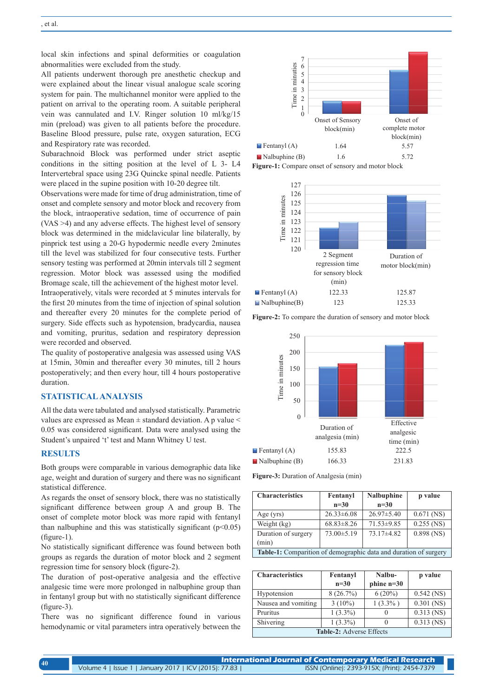local skin infections and spinal deformities or coagulation abnormalities were excluded from the study.

All patients underwent thorough pre anesthetic checkup and were explained about the linear visual analogue scale scoring system for pain. The multichannel monitor were applied to the patient on arrival to the operating room. A suitable peripheral vein was cannulated and I.V. Ringer solution 10 ml/kg/15 min (preload) was given to all patients before the procedure. Baseline Blood pressure, pulse rate, oxygen saturation, ECG and Respiratory rate was recorded.

Subarachnoid Block was performed under strict aseptic conditions in the sitting position at the level of L 3- L4 Intervertebral space using 23G Quincke spinal needle. Patients were placed in the supine position with 10-20 degree tilt.

Observations were made for time of drug administration, time of onset and complete sensory and motor block and recovery from the block, intraoperative sedation, time of occurrence of pain (VAS >4) and any adverse effects. The highest level of sensory block was determined in the midclavicular line bilaterally, by pinprick test using a 20-G hypodermic needle every 2minutes till the level was stabilized for four consecutive tests. Further sensory testing was performed at 20min intervals till 2 segment regression. Motor block was assessed using the modified Bromage scale, till the achievement of the highest motor level. Intraoperatively, vitals were recorded at 5 minutes intervals for the first 20 minutes from the time of injection of spinal solution and thereafter every 20 minutes for the complete period of surgery. Side effects such as hypotension, bradycardia, nausea and vomiting, pruritus, sedation and respiratory depression were recorded and observed.

The quality of postoperative analgesia was assessed using VAS at 15min, 30min and thereafter every 30 minutes, till 2 hours postoperatively; and then every hour, till 4 hours postoperative duration.

## **STATISTICAL ANALYSIS**

All the data were tabulated and analysed statistically. Parametric values are expressed as Mean ± standard deviation. A p value < 0.05 was considered significant. Data were analysed using the Student's unpaired 't' test and Mann Whitney U test.

## **RESULTS**

Both groups were comparable in various demographic data like age, weight and duration of surgery and there was no significant statistical difference.

As regards the onset of sensory block, there was no statistically significant difference between group A and group B. The onset of complete motor block was more rapid with fentanyl than nalbuphine and this was statistically significant  $(p<0.05)$ (figure-1).

No statistically significant difference was found between both groups as regards the duration of motor block and 2 segment regression time for sensory block (figure-2).

The duration of post-operative analgesia and the effective analgesic time were more prolonged in nalbuphine group than in fentanyl group but with no statistically significant difference (figure-3).

There was no significant difference found in various hemodynamic or vital parameters intra operatively between the



**Figure-1:** Compare onset of sensory and motor block



**Figure-2:** To compare the duration of sensory and motor block



**Figure-3:** Duration of Analgesia (min)

| <b>Characteristics</b>                                           | Fentanyl         | <b>Nalbuphine</b> | p value      |  |
|------------------------------------------------------------------|------------------|-------------------|--------------|--|
|                                                                  | $n=30$           | $n=30$            |              |  |
| Age $(yrs)$                                                      | $26.33 \pm 6.08$ | $26.97 \pm 5.40$  | $0.671$ (NS) |  |
| Weight (kg)                                                      | $68.83 \pm 8.26$ | $71.53 \pm 9.85$  | $0.255$ (NS) |  |
| Duration of surgery                                              | $73.00 \pm 5.19$ | $73.17\pm4.82$    | $0.898$ (NS) |  |
| (min)                                                            |                  |                   |              |  |
| Table-1: Comparition of demographic data and duration of surgery |                  |                   |              |  |

| <b>Characteristics</b>          | Fentanyl   | Nalbu-       | p value      |  |
|---------------------------------|------------|--------------|--------------|--|
|                                 | $n=30$     | $phine$ n=30 |              |  |
| Hypotension                     | 8(26.7%)   | $6(20\%)$    | $0.542$ (NS) |  |
| Nausea and vomiting             | $3(10\%)$  | $1(3.3\%)$   | $0.301$ (NS) |  |
| Pruritus                        | $1(3.3\%)$ | $\theta$     | $0.313$ (NS) |  |
| Shivering                       | $1(3.3\%)$ | $\theta$     | $0.313$ (NS) |  |
| <b>Table-2:</b> Adverse Effects |            |              |              |  |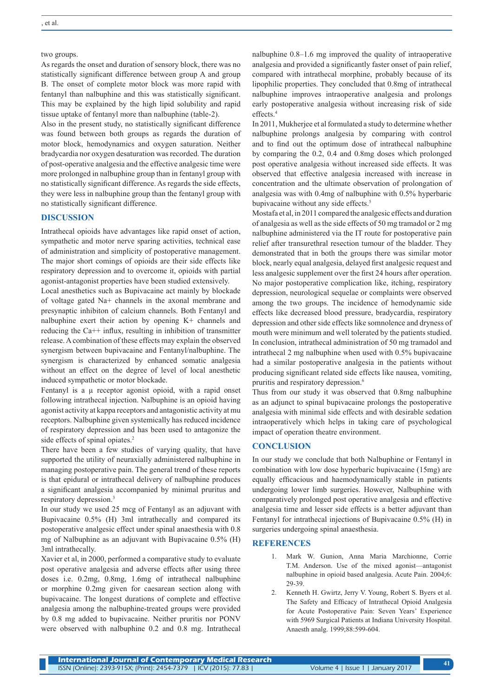#### two groups.

As regards the onset and duration of sensory block, there was no statistically significant difference between group A and group B. The onset of complete motor block was more rapid with fentanyl than nalbuphine and this was statistically significant. This may be explained by the high lipid solubility and rapid tissue uptake of fentanyl more than nalbuphine (table-2).

Also in the present study, no statistically significant difference was found between both groups as regards the duration of motor block, hemodynamics and oxygen saturation. Neither bradycardia nor oxygen desaturation was recorded. The duration of post-operative analgesia and the effective analgesic time were more prolonged in nalbuphine group than in fentanyl group with no statistically significant difference. As regards the side effects, they were less in nalbuphine group than the fentanyl group with no statistically significant difference.

## **DISCUSSION**

Intrathecal opioids have advantages like rapid onset of action, sympathetic and motor nerve sparing activities, technical ease of administration and simplicity of postoperative management. The major short comings of opioids are their side effects like respiratory depression and to overcome it, opioids with partial agonist-antagonist properties have been studied extensively.

Local anesthetics such as Bupivacaine act mainly by blockade of voltage gated Na+ channels in the axonal membrane and presynaptic inhibiton of calcium channels. Both Fentanyl and nalbuphine exert their action by opening K+ channels and reducing the Ca++ influx, resulting in inhibition of transmitter release. A combination of these effects may explain the observed synergism between bupivacaine and Fentanyl/nalbuphine. The synergism is characterized by enhanced somatic analgesia without an effect on the degree of level of local anesthetic induced sympathetic or motor blockade.

Fentanyl is a  $\mu$  receptor agonist opioid, with a rapid onset following intrathecal injection. Nalbuphine is an opioid having agonist activity at kappa receptors and antagonistic activity at mu receptors. Nalbuphine given systemically has reduced incidence of respiratory depression and has been used to antagonize the side effects of spinal opiates.<sup>2</sup>

There have been a few studies of varying quality, that have supported the utility of neuraxially administered nalbuphine in managing postoperative pain. The general trend of these reports is that epidural or intrathecal delivery of nalbuphine produces a significant analgesia accompanied by minimal pruritus and respiratory depression.<sup>3</sup>

In our study we used 25 mcg of Fentanyl as an adjuvant with Bupivacaine 0.5% (H) 3ml intrathecally and compared its postoperative analgesic effect under spinal anaesthesia with 0.8 mg of Nalbuphine as an adjuvant with Bupivacaine 0.5% (H) 3ml intrathecally.

Xavier et al, in 2000, performed a comparative study to evaluate post operative analgesia and adverse effects after using three doses i.e. 0.2mg, 0.8mg, 1.6mg of intrathecal nalbuphine or morphine 0.2mg given for caesarean section along with bupivacaine. The longest durations of complete and effective analgesia among the nalbuphine-treated groups were provided by 0.8 mg added to bupivacaine. Neither pruritis nor PONV were observed with nalbuphine 0.2 and 0.8 mg. Intrathecal nalbuphine 0.8–1.6 mg improved the quality of intraoperative analgesia and provided a significantly faster onset of pain relief, compared with intrathecal morphine, probably because of its lipophilic properties. They concluded that 0.8mg of intrathecal nalbuphine improves intraoperative analgesia and prolongs early postoperative analgesia without increasing risk of side effects.4

In 2011, Mukherjee et al formulated a study to determine whether nalbuphine prolongs analgesia by comparing with control and to find out the optimum dose of intrathecal nalbuphine by comparing the 0.2, 0.4 and 0.8mg doses which prolonged post operative analgesia without increased side effects. It was observed that effective analgesia increased with increase in concentration and the ultimate observation of prolongation of analgesia was with 0.4mg of nalbuphine with 0.5% hyperbaric bupivacaine without any side effects.<sup>5</sup>

Mostafa et al, in 2011 compared the analgesic effects and duration of analgesia as well as the side effects of 50 mg tramadol or 2 mg nalbuphine administered via the IT route for postoperative pain relief after transurethral resection tumour of the bladder. They demonstrated that in both the groups there was similar motor block, nearly equal analgesia, delayed first analgesic request and less analgesic supplement over the first 24 hours after operation. No major postoperative complication like, itching, respiratory depression, neurological sequelae or complaints were observed among the two groups. The incidence of hemodynamic side effects like decreased blood pressure, bradycardia, respiratory depression and other side effects like somnolence and dryness of mouth were minimum and well tolerated by the patients studied. In conclusion, intrathecal administration of 50 mg tramadol and intrathecal 2 mg nalbuphine when used with 0.5% bupivacaine had a similar postoperative analgesia in the patients without producing significant related side effects like nausea, vomiting, pruritis and respiratory depression.6

Thus from our study it was observed that 0.8mg nalbuphine as an adjunct to spinal bupivacaine prolongs the postoperative analgesia with minimal side effects and with desirable sedation intraoperatively which helps in taking care of psychological impact of operation theatre environment.

#### **CONCLUSION**

In our study we conclude that both Nalbuphine or Fentanyl in combination with low dose hyperbaric bupivacaine (15mg) are equally efficacious and haemodynamically stable in patients undergoing lower limb surgeries. However, Nalbuphine with comparatively prolonged post operative analgesia and effective analgesia time and lesser side effects is a better adjuvant than Fentanyl for intrathecal injections of Bupivacaine 0.5% (H) in surgeries undergoing spinal anaesthesia.

#### **REFERENCES**

- 1. Mark W. Gunion, Anna Maria Marchionne, Corrie T.M. Anderson. Use of the mixed agonist—antagonist nalbuphine in opioid based analgesia. Acute Pain. 2004;6: 29-39.
- 2. Kenneth H. Gwirtz, Jerry V. Young, Robert S. Byers et al. The Safety and Efficacy of Intrathecal Opioid Analgesia for Acute Postoperative Pain: Seven Years' Experience with 5969 Surgical Patients at Indiana University Hospital. Anaesth analg. 1999;88:599-604.

**41**